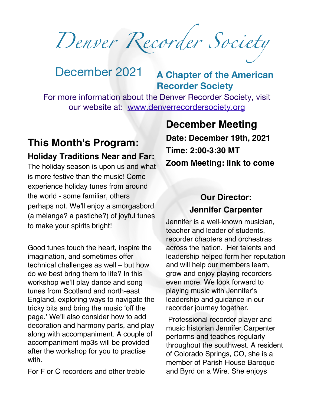*Denver Recorder Society*

# December 2021 **<sup>A</sup> Chapter of the American Recorder Society**

For more information about the Denver Recorder Society, visit our website at: [www.denverrecordersociety.org](http://www.denverrecordersociety.org)

# **This Month's Program: Holiday Traditions Near and Far:**

The holiday season is upon us and what is more festive than the music! Come experience holiday tunes from around the world - some familiar, others perhaps not. We'll enjoy a smorgasbord (a mélange? a pastiche?) of joyful tunes to make your spirits bright!

Good tunes touch the heart, inspire the imagination, and sometimes offer technical challenges as well – but how do we best bring them to life? In this workshop we'll play dance and song tunes from Scotland and north-east England, exploring ways to navigate the tricky bits and bring the music 'off the page.' We'll also consider how to add decoration and harmony parts, and play along with accompaniment. A couple of accompaniment mp3s will be provided after the workshop for you to practise with.

For F or C recorders and other treble

# **December Meeting**

**Date: December 19th, 2021 Time: 2:00-3:30 MT Zoom Meeting: link to come**

## **Our Director: Jennifer Carpenter**

Jennifer is a well-known musician, teacher and leader of students, recorder chapters and orchestras across the nation. Her talents and leadership helped form her reputation and will help our members learn, grow and enjoy playing recorders even more. We look forward to playing music with Jennifer's leadership and guidance in our recorder journey together.

Professional recorder player and music historian Jennifer Carpenter performs and teaches regularly throughout the southwest. A resident of Colorado Springs, CO, she is a member of Parish House Baroque and Byrd on a Wire. She enjoys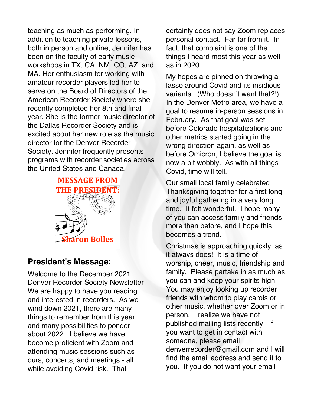teaching as much as performing. In addition to teaching private lessons, both in person and online, Jennifer has been on the faculty of early music workshops in TX, CA, NM, CO, AZ, and MA. Her enthusiasm for working with amateur recorder players led her to serve on the Board of Directors of the American Recorder Society where she recently completed her 8th and final year. She is the former music director of the Dallas Recorder Society and is excited about her new role as the music director for the Denver Recorder Society. Jennifer frequently presents programs with recorder societies across the United States and Canada.



#### **President's Message:**

Welcome to the December 2021 Denver Recorder Society Newsletter! We are happy to have you reading and interested in recorders. As we wind down 2021, there are many things to remember from this year and many possibilities to ponder about 2022. I believe we have become proficient with Zoom and attending music sessions such as ours, concerts, and meetings - all while avoiding Covid risk. That

certainly does not say Zoom replaces personal contact. Far far from it. In fact, that complaint is one of the things I heard most this year as well as in 2020.

My hopes are pinned on throwing a lasso around Covid and its insidious variants. (Who doesn't want that?!) In the Denver Metro area, we have a goal to resume in-person sessions in February. As that goal was set before Colorado hospitalizations and other metrics started going in the wrong direction again, as well as before Omicron, I believe the goal is now a bit wobbly. As with all things Covid, time will tell.

Our small local family celebrated Thanksgiving together for a first long and joyful gathering in a very long time. It felt wonderful. I hope many of you can access family and friends more than before, and I hope this becomes a trend.

Christmas is approaching quickly, as it always does! It is a time of worship, cheer, music, friendship and family. Please partake in as much as you can and keep your spirits high. You may enjoy looking up recorder friends with whom to play carols or other music, whether over Zoom or in person. I realize we have not published mailing lists recently. If you want to get in contact with someone, please email denverrecorder@gmail.com and I will find the email address and send it to you. If you do not want your email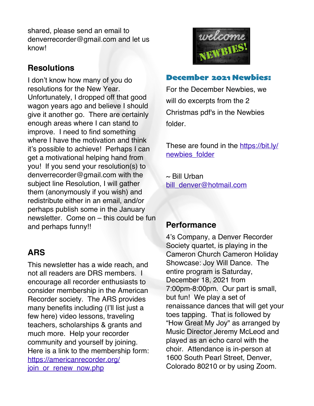shared, please send an email to denverrecorder@gmail.com and let us know!

### **Resolutions**

I don't know how many of you do resolutions for the New Year. Unfortunately, I dropped off that good wagon years ago and believe I should give it another go. There are certainly enough areas where I can stand to improve. I need to find something where I have the motivation and think it's possible to achieve! Perhaps I can get a motivational helping hand from you! If you send your resolution(s) to denverrecorder@gmail.com with the subject line Resolution, I will gather them (anonymously if you wish) and redistribute either in an email, and/or perhaps publish some in the January newsletter. Come on – this could be fun and perhaps funny!!

## **ARS**

This newsletter has a wide reach, and not all readers are DRS members. I encourage all recorder enthusiasts to consider membership in the American Recorder society. The ARS provides many benefits including (I'll list just a few here) video lessons, traveling teachers, scholarships & grants and much more. Help your recorder community and yourself by joining. Here is a link to the membership form: [https://americanrecorder.org/](https://americanrecorder.org/join_or_renew_now.php) join or renew now.php



#### December 2021 Newbies:

For the December Newbies, we will do excerpts from the 2 Christmas pdf's in the Newbies folder.

These are found in the [https://bit.ly/](https://bit.ly/newbies_folder) [newbies\\_folder](https://bit.ly/newbies_folder)

 $\sim$  Bill Urban [bill\\_denver@hotmail.com](http://bill_denver@hotmail.com)

#### **Performance**

4's Company, a Denver Recorder Society quartet, is playing in the Cameron Church Cameron Holiday Showcase: Joy Will Dance. The entire program is Saturday, December 18, 2021 from 7:00pm-8:00pm. Our part is small, but fun! We play a set of renaissance dances that will get your toes tapping. That is followed by "How Great My Joy" as arranged by Music Director Jeremy McLeod and played as an echo carol with the choir. Attendance is in-person at 1600 South Pearl Street, Denver, Colorado 80210 or by using Zoom.